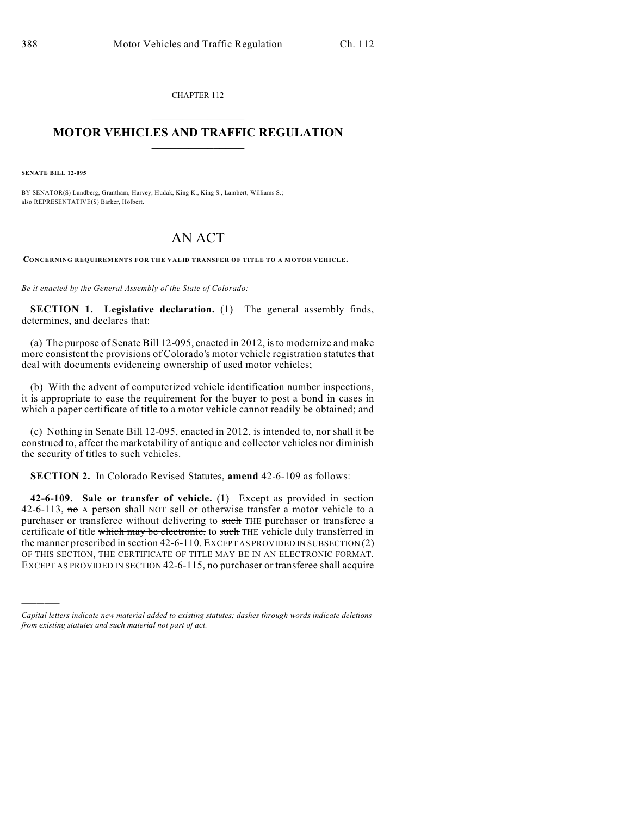CHAPTER 112  $\mathcal{L}_\text{max}$  . The set of the set of the set of the set of the set of the set of the set of the set of the set of the set of the set of the set of the set of the set of the set of the set of the set of the set of the set

## **MOTOR VEHICLES AND TRAFFIC REGULATION**  $\frac{1}{2}$  ,  $\frac{1}{2}$  ,  $\frac{1}{2}$  ,  $\frac{1}{2}$  ,  $\frac{1}{2}$  ,  $\frac{1}{2}$  ,  $\frac{1}{2}$

**SENATE BILL 12-095**

)))))

BY SENATOR(S) Lundberg, Grantham, Harvey, Hudak, King K., King S., Lambert, Williams S.; also REPRESENTATIVE(S) Barker, Holbert.

## AN ACT

**CONCERNING REQUIREMENTS FOR THE VALID TRANSFER OF TITLE TO A MOTOR VEHICLE.**

*Be it enacted by the General Assembly of the State of Colorado:*

**SECTION 1. Legislative declaration.** (1) The general assembly finds, determines, and declares that:

(a) The purpose of Senate Bill 12-095, enacted in 2012, isto modernize and make more consistent the provisions of Colorado's motor vehicle registration statutes that deal with documents evidencing ownership of used motor vehicles;

(b) With the advent of computerized vehicle identification number inspections, it is appropriate to ease the requirement for the buyer to post a bond in cases in which a paper certificate of title to a motor vehicle cannot readily be obtained; and

(c) Nothing in Senate Bill 12-095, enacted in 2012, is intended to, nor shall it be construed to, affect the marketability of antique and collector vehicles nor diminish the security of titles to such vehicles.

**SECTION 2.** In Colorado Revised Statutes, **amend** 42-6-109 as follows:

**42-6-109. Sale or transfer of vehicle.** (1) Except as provided in section 42-6-113,  $\pi\sigma$  A person shall NOT sell or otherwise transfer a motor vehicle to a purchaser or transferee without delivering to such THE purchaser or transferee a certificate of title which may be electronic, to such THE vehicle duly transferred in the manner prescribed in section 42-6-110. EXCEPT AS PROVIDED IN SUBSECTION (2) OF THIS SECTION, THE CERTIFICATE OF TITLE MAY BE IN AN ELECTRONIC FORMAT. EXCEPT AS PROVIDED IN SECTION 42-6-115, no purchaser or transferee shall acquire

*Capital letters indicate new material added to existing statutes; dashes through words indicate deletions from existing statutes and such material not part of act.*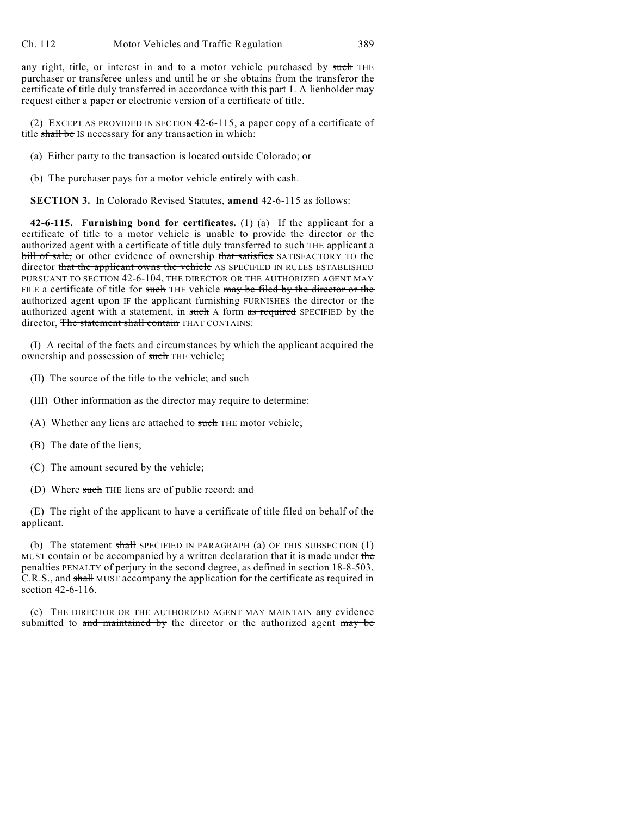any right, title, or interest in and to a motor vehicle purchased by such THE purchaser or transferee unless and until he or she obtains from the transferor the certificate of title duly transferred in accordance with this part 1. A lienholder may request either a paper or electronic version of a certificate of title.

(2) EXCEPT AS PROVIDED IN SECTION 42-6-115, a paper copy of a certificate of title shall be IS necessary for any transaction in which:

(a) Either party to the transaction is located outside Colorado; or

(b) The purchaser pays for a motor vehicle entirely with cash.

**SECTION 3.** In Colorado Revised Statutes, **amend** 42-6-115 as follows:

**42-6-115. Furnishing bond for certificates.** (1) (a) If the applicant for a certificate of title to a motor vehicle is unable to provide the director or the authorized agent with a certificate of title duly transferred to such THE applicant  $\sigma$ bill of sale, or other evidence of ownership that satisfies SATISFACTORY TO the director that the applicant owns the vehicle AS SPECIFIED IN RULES ESTABLISHED PURSUANT TO SECTION 42-6-104, THE DIRECTOR OR THE AUTHORIZED AGENT MAY FILE a certificate of title for such THE vehicle may be filed by the director or the authorized agent upon IF the applicant furnishing FURNISHES the director or the authorized agent with a statement, in such A form as required SPECIFIED by the director, The statement shall contain THAT CONTAINS:

(I) A recital of the facts and circumstances by which the applicant acquired the ownership and possession of such THE vehicle;

- (II) The source of the title to the vehicle; and such
- (III) Other information as the director may require to determine:
- (A) Whether any liens are attached to such THE motor vehicle;
- (B) The date of the liens;
- (C) The amount secured by the vehicle;
- (D) Where such THE liens are of public record; and

(E) The right of the applicant to have a certificate of title filed on behalf of the applicant.

(b) The statement shall SPECIFIED IN PARAGRAPH (a) OF THIS SUBSECTION  $(1)$ MUST contain or be accompanied by a written declaration that it is made under the penalties PENALTY of perjury in the second degree, as defined in section 18-8-503, C.R.S., and shall MUST accompany the application for the certificate as required in section 42-6-116.

(c) THE DIRECTOR OR THE AUTHORIZED AGENT MAY MAINTAIN any evidence submitted to and maintained by the director or the authorized agent may be